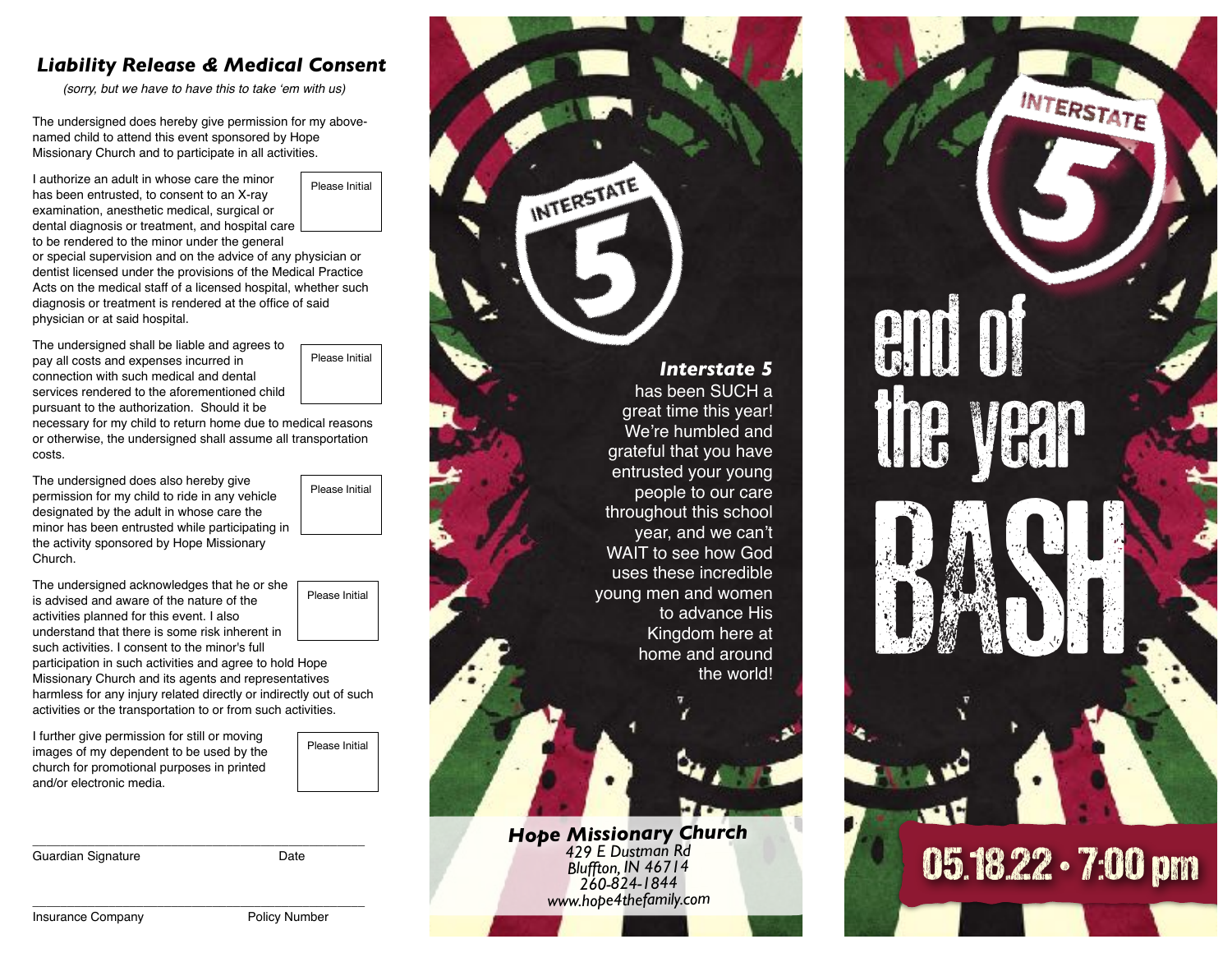## *Liability Release & Medical Consent*

*(sorry, but we have to have this to take 'em with us)*

The undersigned does hereby give permission for my abovenamed child to attend this event sponsored by Hope Missionary Church and to participate in all activities.

I authorize an adult in whose care the minor has been entrusted, to consent to an X-ray examination, anesthetic medical, surgical or dental diagnosis or treatment, and hospital care

Please Initial

to be rendered to the minor under the general or special supervision and on the advice of any physician or dentist licensed under the provisions of the Medical Practice Acts on the medical staff of a licensed hospital, whether such diagnosis or treatment is rendered at the office of said physician or at said hospital.

The undersigned shall be liable and agrees to pay all costs and expenses incurred in connection with such medical and dental services rendered to the aforementioned child pursuant to the authorization. Should it be

Please Initial

Please Initial

necessary for my child to return home due to medical reasons or otherwise, the undersigned shall assume all transportation costs.

The undersigned does also hereby give permission for my child to ride in any vehicle designated by the adult in whose care the minor has been entrusted while participating in the activity sponsored by Hope Missionary Church.

The undersigned acknowledges that he or she is advised and aware of the nature of the activities planned for this event. I also understand that there is some risk inherent in such activities. I consent to the minor's full participation in such activities and agree to hold Hope Missionary Church and its agents and representatives harmless for any injury related directly or indirectly out of such activities or the transportation to or from such activities.

I further give permission for still or moving images of my dependent to be used by the church for promotional purposes in printed

Guardian Signature **Date** 

\_\_\_\_\_\_\_\_\_\_\_\_\_\_\_\_\_\_\_\_\_\_\_\_\_\_\_\_\_\_\_\_\_\_\_\_\_\_\_\_\_\_\_\_\_\_\_\_

Please Initial

Please Initial

INTERSTATE *Interstate 5* has been SUCH a great time this year! We're humbled and grateful that you have entrusted your young people to our care throughout this school year, and we can't WAIT to see how God uses these incredible young men and women to advance His Kingdom here at home and around the world! *Hope Missionary Church 429 E Dustman Rd Bluffton, IN 46714 260-824-1844 www.hope4thefamily.com*

INTERSTATE end of the year BASH OF **Wednesday**  05.18.22 • 7:00 pm

\_\_\_\_\_\_\_\_\_\_\_\_\_\_\_\_\_\_\_\_\_\_\_\_\_\_\_\_\_\_\_\_\_\_\_\_\_\_\_\_\_\_\_\_\_\_\_\_

and/or electronic media.

Insurance Company **Policy Number**